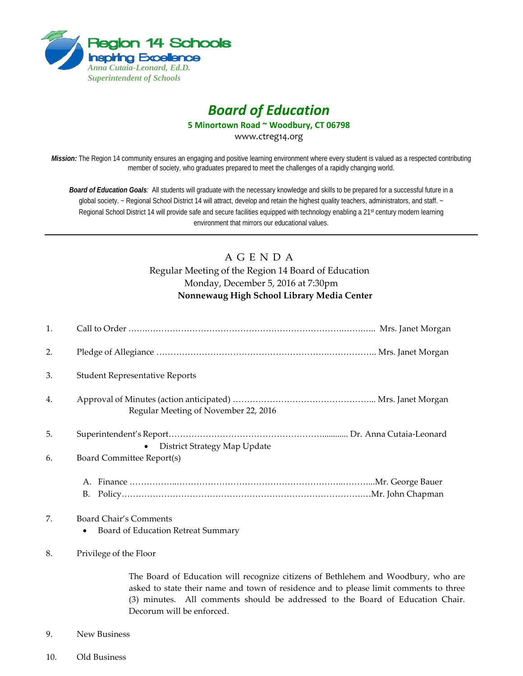

# *Board of Education*

**5 Minortown Road ~ Woodbury, CT 06798**

www.ctreg14.org

*Mission:* The Region 14 community ensures an engaging and positive learning environment where every student is valued as a respected contributing member of society, who graduates prepared to meet the challenges of a rapidly changing world.

*Board of Education Goals:* All students will graduate with the necessary knowledge and skills to be prepared for a successful future in a global society. ~ Regional School District 14 will attract, develop and retain the highest quality teachers, administrators, and staff. ~ Regional School District 14 will provide safe and secure facilities equipped with technology enabling a 21<sup>st</sup> century modern learning environment that mirrors our educational values.

# A G E N D A Regular Meeting of the Region 14 Board of Education Monday, December 5, 2016 at 7:30pm **Nonnewaug High School Library Media Center**

| 1. |                                                                                                                                                                            |
|----|----------------------------------------------------------------------------------------------------------------------------------------------------------------------------|
| 2. |                                                                                                                                                                            |
| 3. | <b>Student Representative Reports</b>                                                                                                                                      |
| 4. | Regular Meeting of November 22, 2016                                                                                                                                       |
| 5. | District Strategy Map Update                                                                                                                                               |
| 6. | Board Committee Report(s)                                                                                                                                                  |
|    |                                                                                                                                                                            |
| 7. | Board Chair's Comments                                                                                                                                                     |
|    | Board of Education Retreat Summary<br>٠                                                                                                                                    |
| 8. | Privilege of the Floor                                                                                                                                                     |
|    | The Board of Education will recognize citizens of Bethlehem and Woodbury, who are<br>asked to state their name and town of residence and to please limit comments to three |

(3) minutes. All comments should be addressed to the Board of Education Chair. Decorum will be enforced.

- 9. New Business
- 10. Old Business